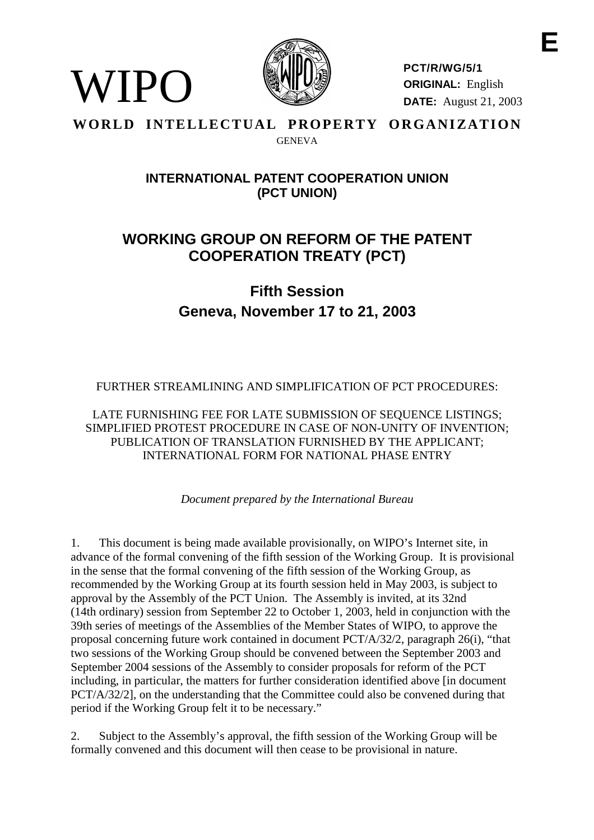

**PCT/R/WG/5/1 ORIGINAL:** English **DATE:** August 21, 2003

### **WORLD INTELLECTUAL PROPERTY ORGANIZATION GENEVA**

WIPO

## **INTERNATIONALPATENT COOPERATIONUNION (PCT UNION)**

# **WORKING GROUP ON REF ORM OF THE PATENT COOPERATION TREATY ( PCT)**

# **Fifth Session Geneva, No vember 17 to 21, 2003**

FURTHER STREAMLINING AND SIMPLIFICATION OF PCTPROCEDURES:

LATEFURNISHINGFEEFORLATESUBMISSIONOFSEOUENCELISTINGS; SIMPLIFIEDPROTESTPROCEDUREINCASEOFNON -UNITY OF INVENTION; PUBLICATION OF TRANSLATION FURNISHED BY THE APPL ICANT; INTERNATIONAL FORM FORNATIONAL PHASE ENTRY

*Document prepared by the International Bureau*

1. This document is being made available provisionally, on WIPO's Internet site, in advance of the formal convening of the fifth sessio nof the Working Group. It is provisional in the sense that the formal convening of the fifth session of the Working Group, as recommended by the Working Group at its fourth session held in May 2003, is subject to approval by the Assembly of the PCT Union . The Assembly is invited, at its 32nd (14th ordinary) session from September 22 to October 1, 2003, held in conjunction with the 39th series of meetings of the Assemblies of the Member States of WIPO, to approve the proposal concerning future work contai ned indocument  $PCT/A/32/2$ , paragraph  $26(i)$ , "that two sessions of the Working Group should be convened between the September 2003 and September 2004 sessions of the Assembly to consider proposals for reform of the PCT including, in particular, the matters for further consideration identified above [indocument] PCT/A/32/2], on the understanding that the Committee could also be convened during that periodif the Working Group felt it to be necessary."

2. Subject to the Assembly's app roval, the fifth session of the Working Group will be formally convened and this document will then cease to be provisional innature.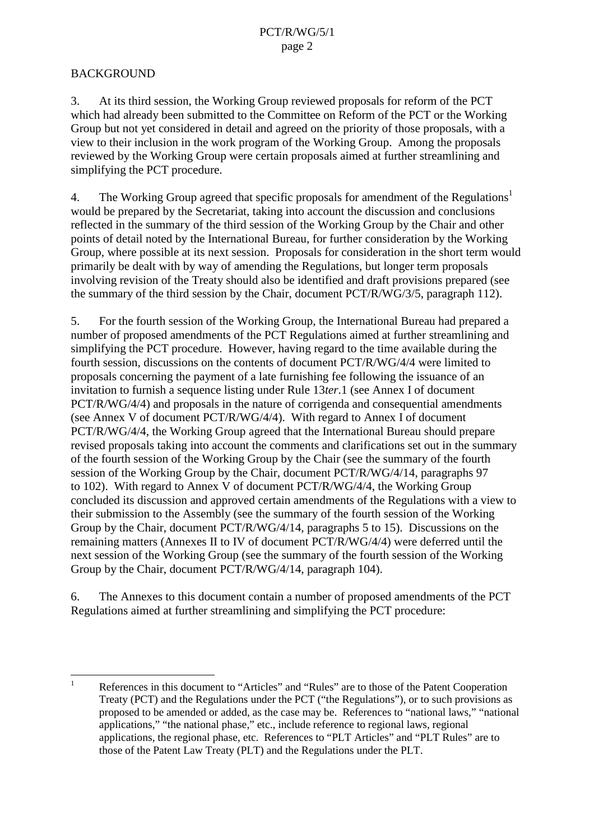## **BACKGROUND**

3. At its third session, the Working Group reviewed proposals for reform of the PCT which had already been submitted to the Committee on Reform of the PCT or the Working Group but not yet considered indetail and agreed on the priority of those proposals, with a view to their inclusion in the work program of the Working Group. Among the p roposals reviewed by the Working Group were certain proposals aimed at further streamlining and simplifying the PCT procedure.

4. The Working Group agreed that specific proposals for amendment of the Regulations  $1$ would be prepared by the Secretariat, taking into account the discussion and conclusions reflected in the summary of the third session of the Working Group by the Chair and other points of detail noted by the International Bureau, for further consideration by the Working Group, where possible at its next session. Proposals for consideration in the short term would primarily be dealt with by way of amending the Regulations, but longer term proposals involving revision of the Treaty should also be identified and draft provisi on sprepared (see the summary of the third session by the Chair, document PCT/R/WG/3/5, paragraph 112).

5. Forthe fourth session of the Working Group, the International Bureau had prepared a number of proposed amendments of the PC TRegulations aimed at further streamlining and simplifying the PCT procedure. However, having regard to the time available during the fourthsession, discussions on the contents of document PCT/R/WG/4/4 were limited to proposals concerning the payment of a late furnishing feefollowing the issuance of an invitation to furnish a sequence listing under Rule 13*ter*.1 (see Annex I of document PCT/R/WG/4/4) and proposals in the nature of corrigenda and consequential amendments  $(see AnnexV of document PCT/R/WG / 4/4)$ . With regard to Annex I of document PCT/R/WG/4/4, the Working Group agreed that the International Bureaushould prepare revised proposal staking into account the comments and clarifications set out in the summary of the fourth session of the Working Group by the Chair (see the summary of the fourth  $s$ ession of the Working Group by the Chair, document PCT/R/WG/4/14, paragraphs 97 to 102). With regard to Annex V of document PCT/R/WG/4/4, the Working Group concluded its discussion and approved certain a mendments of the Regulations with a view to their submission to the Assembly (see the summary of the fourth session of the Working Group by the Chair, document PCT/R/WG/4/14, paragraphs 5 to 15). Discussions on the  $remaining matters (Annexes I I to IV of d  
ocument PCT/R/WG/4/4) were deferred until the$ next session of the Working Group (see the summary of the fourth session of the Working Group by the Chair, document PCT/R/WG/4/14, paragraph 104).

6. The Annexes to this document conta in a number of proposed amendments of the PCT Regulations aimed at further streamlining and simplifying the PCT procedure:

<sup>&</sup>lt;sup>1</sup> References in this document to "Articles" and "Rules" are to those of the Patent Cooperation Treaty (PCT) and the Regulation sunder the PCT ("the Regulations"), or to such provisions as proposed to be amended or added, as the case may be. References to "national laws," "national applications," "the national phase," etc., include reference to regional laws, regional applications, there gio nalphase, etc. References to "PLTArticles" and "PLTRules" are to those of the Patent Law Treaty (PLT) and the Regulations under the PLT.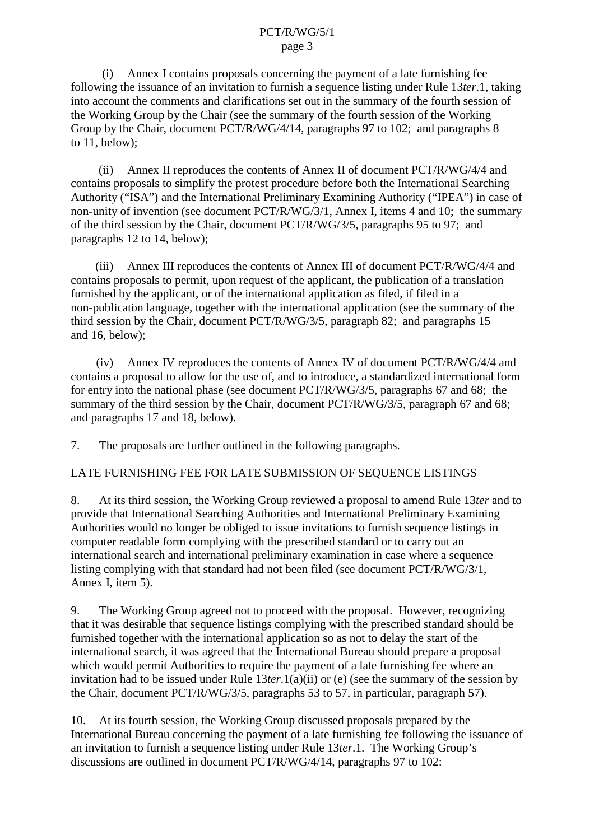#### PCT/R/WG/5/1 page 3

 $(i)$  Annex I contains proposals concerning the payment of a late furnishing fee following the issuance of an invitation to furnish a sequence listing under Rule 13*ter*. 1, taking into account the comments and clarifications set out in the summary of the fourth session of the Working Group by the Chair (see the summary of the fourth session of the Working Group by the Chair, document  $PCT/R/WG/4/14$ , paragraphs 97to 102; and paragraphs 8 to  $11$ , below);

(ii) Annex II reproduces the contents of Annex II of d ocument PCT/R/WG/4/4 and contains proposals to simplify the protest procedure before both the International Searching Authority ("ISA") and the International Preliminary Examining Authority ("IPEA") in case of non-unity of invention (seed ocument PCT/R/WG/ 3/1, Annex I, items 4 and 10; the summary of the third session by the Chair, document PCT/R/WG/3/5, paragraphs 95 to 97; and paragraphs  $12$  to  $14$ , below);

(iii) Annex III repro duces the contents of Annex III of document PCT/R/WG/4/4 and contains proposals to permit, upon request of the applicant, the publication of a translation furnished by the applicant, or of the international applications filed, if filed in a non-publication language, together with the international application (see the summary of the third session by the Chair, document PCT/R/WG/3/5, paragraph 82; and paragraphs [15](#page-4-0) and [16](#page-4-0), below);

(iv) Annex IV reproduces the contents of Annex IV of document PCT/R/WG/4/4 and contains a proposal to allow for the use of, and to introduce, a standardized international form for entry into the national phase (seed ocument PCT/R/WG/3/5, paragraphs 67 and 68; the summary of the third session by the Chair, document PCT/R/WG/3/5, paragraph 67 and 68; and paragraphs [17](#page-4-0) and [18](#page-5-0), below).

7. The proposal sare further outlined in the following paragraphs.

## LATEFURNISHING FEE FOR LATES UBMISSION OF SEQUENCE LISTINGS

8. At its third session, the Working Group reviewed aproposal to amend Rule 13*ter* and to provide that International Searching Authorities and International Preliminary Examining Authorities would no longer be obliged to issue invitations to furnish sequence listings in computer readable form complying with the prescribed standard or to carry out an international search and international prelimi nary examination in case where a sequence listing complying with that standard had not been filed (seed ocument PCT/R/WG/3/1, Annex I, item 5).

9. The Working Group agreed not to proceed with the proposal. However, recognizing that it was desirable that sequence listings complying with the prescribed standard should be furnished together with the international applications oas not to delay the start of the international search, it was agreed that the International Bureau should propose epare a proposal which would permit Authorities to require the payment of a late furnishing fee where an invitation had to be issued under Rule 13*ter*.1(a)(ii) or (e) (see the summary of the session by the Chair, document PCT/R/WG/3/5, paragraphs 53 to 57, in particular, paragraph 57).

10. At its fourth session, the Working Group discussed proposals prepared by the International Bureau concerning the payment of a late furnishing feefollowing the issuance of an invitation to furnish a sequence listing under Rule 13*ter*.1. The Working Group's discussions are outlined indocument PCT/R/WG/4/14, paragraphs 97 to 102: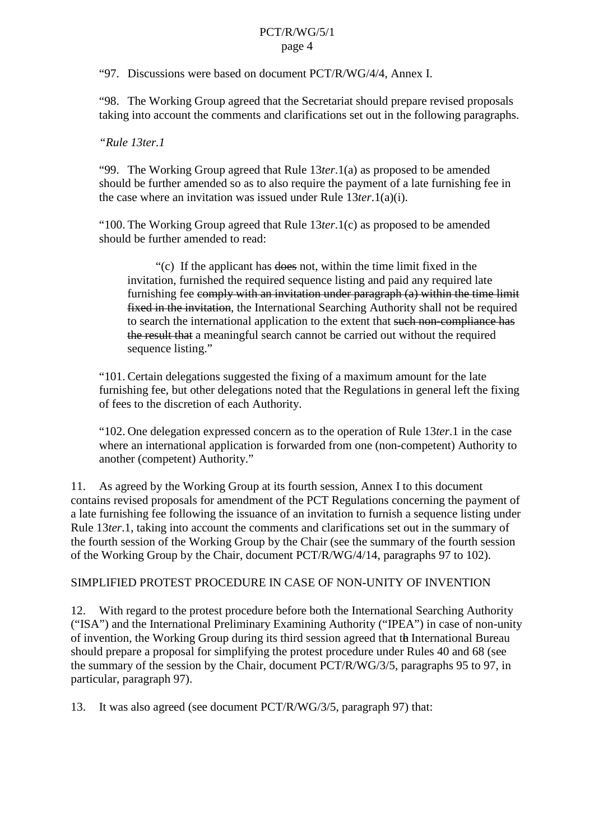#### PCT/R/WG/5/1 page 4

<span id="page-3-0"></span>"97. Discussions were based on document PCT/R/WG/4/4, Annex I.

"98. The Working Group agreed that the Secretariat should p repare revised proposals taking into account the comments and clarifications set out in the following paragraphs.

### *"Rule 13ter.1*

"99. The Working Group agreed that Rule 13 *ter*.1(a) as proposed to be amended should be further amended so as to also require the payment of a late furnishing fee in the case where an invitation was issued under Rule 13 *ter.* 1(a)(i).

"100. The Working Group agreed that Rule 13 *ter*.1(c) as proposed to be amended should be further amended to read:

"(c) If the applicant has does not, within the time limit fixed in the invitation, furnished the required sequence listing and paid any required late furnishing fee comply with an invitation under paragraph (a) within the time limit fixed in the invitation - the International Searching Auth ority shall not be required to search the international application to the extent that such non-compliance has the result that a meaningful search cannot be carried out without the required sequencelisting."

"101. Certain delegations suggested the fixing of a maximum amount for the late furnishing fee, but other delegations noted that the Regulations in general left the fixing offeestothediscretion of each Authority.

"102. One delegation expressed concernast other operation of Rule 13*ter*. 1 in the ca se where an international application is forwarded from one (non -competent) Authority to another (competent) Authority."

11. As agreed by the Working Group at its fourth session, Annex I to this document contains revised proposals f or amendment of the PCT Regulations concerning the payment of a late furnishing fee following the issuance of an invitation to furnish a sequence listing under Rule 13*ter*.1, taking into account the comments and clarifications set out in the summary of the fourthsession of the Working Group by the Chair (see the summary of the fourth session of the Working Group by the Chair, document PCT/R/WG/4/14, paragraphs 97 to 102).

SIMPLIFIEDPROTESTPROCEDUREINCASEOFNON -UNITY OF INVENTION

12. With regard to the protest procedure before both the International Searching Authority ("ISA") and the International Preliminary Examining Authority ("IPEA") in case of non -unity of invention, the Working Group during its third session agreed that the International Bureau should prepare a proposal for simplifying the protest procedure under Rules 40 and 68 (see the summary of the session by the Chair, document PCT/R/WG/3/5, paragraphs 95 to 97, in particular, paragraph 97).

13. It was also agreed (seed ocument PCT/R/WG/3/5, paragraph 97) that: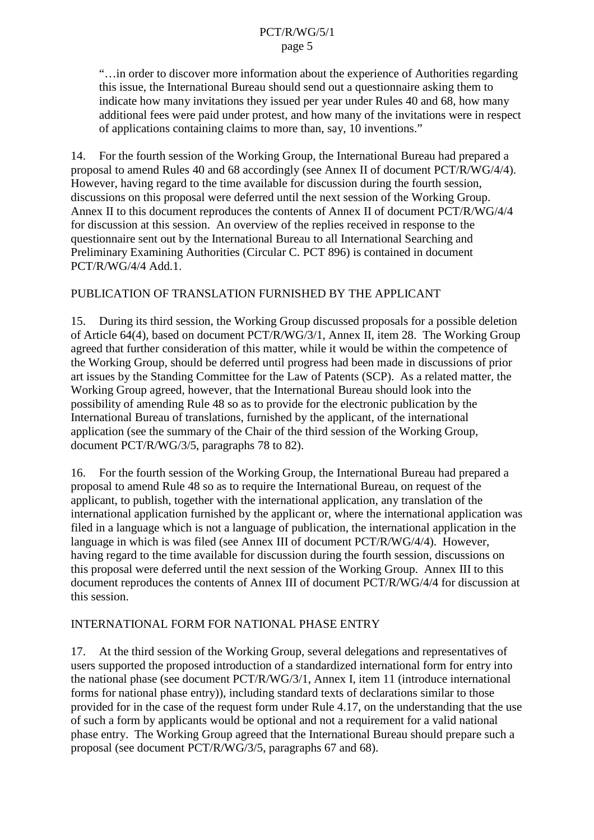<span id="page-4-0"></span>"...in order to discover more information about the experience of Authorities regarding this issue, the International Bureau should send out a questionnaire as king them to indicate how man yinvitations the yissued per year under Rules 40 and 68, how many additional fees were paid under protest, and how many of the invitations were in respect of applications containing claims to more than, say, 10 inventions."

14. Forthe fourth session of the Working Group, the International Bureau had prepared a proposalto amend Rules 40 and 68 according Iv (see Annex II of document PCT/R/WG/4/4). However, having regard to the time available for discussion during the fourth session, discussions on this proposal were deferred until the next session of the Working Group. Annex IIto this document reproduces the contents of Annex II of document PCT/R/WG/4/4 for discussion at this session. An overview of the replies received in response to the questionnaire sent out by the International Bureau to all International Searching and Preliminary Examining Authorities (Circular C.PCT 896) is contained indocument PCT/R/WG/4/4Add.1.

### PUBLICATION OF TRANSLATION FURNISHED BY THE APPLICANT

15. During its third session, the Working Group discussed proposals for a possible deletion of Article 64(4), based on document PCT/R/WG/3/1, Annex II, item 28. The Working Group agreed that further consideration of this matter, while it would be within the competence of the Working Group, should be deferred until progress had been made in discussions of prior artissues by the Standing Committee for the Law of Patents (SCP). As a related matter, the Working Group agreed, however, that the International Bureau should look into the possibility of amending Rule 48 so as to provide for the electronic publication by the International Bureau of translations, furnished by the applicant, of the international application (see the summary of the C hair of the third session of the Working Group, document PCT/R/WG/3/5, paragraphs 78 to 82).

16. Forthe fourth session of the Working Group, the International Bureau had prepared a proposal to amend Rule 48 so as to require the Int ernational Bureau, on request of the applicant, to publish, to gether with the international application, any translation of the international application furnished by the applicant or, where the international application was filed in a language which is no talanguage of publication, the international application in the language in which is was filed (see Annex III of document PCT/R/WG/4/4). However, having regard to the time available for discussion during the fourth session, discussions on this proposal were deferred until the next session of the Working Group. Annex III to this document reproduces the contents of Annex III of document PCT/R/WG/4/4 for discussion at this session.

## INTERNATIONAL FORM FORNATIONAL PHASE ENTRY

17. Atthe third session of the Working Group, several delegations and representatives of users supported the proposed introduction of a standardized international form for entry into the national phase (seed ocument PCT/R/WG/3/1, Annex I, item 11 (introduce int ernational forms for national phase entry)), including standard texts of declarations similar to those provided for in the case of the request form under Rule 4.17, on the understanding that the use of such a form by applicants would be optional and not a requirement for a valid national phase entry. The Working Group agreed that the International Bureaushould prepare such a proposal (seedocument PCT/R/WG/3/5, paragraphs 67 and 68).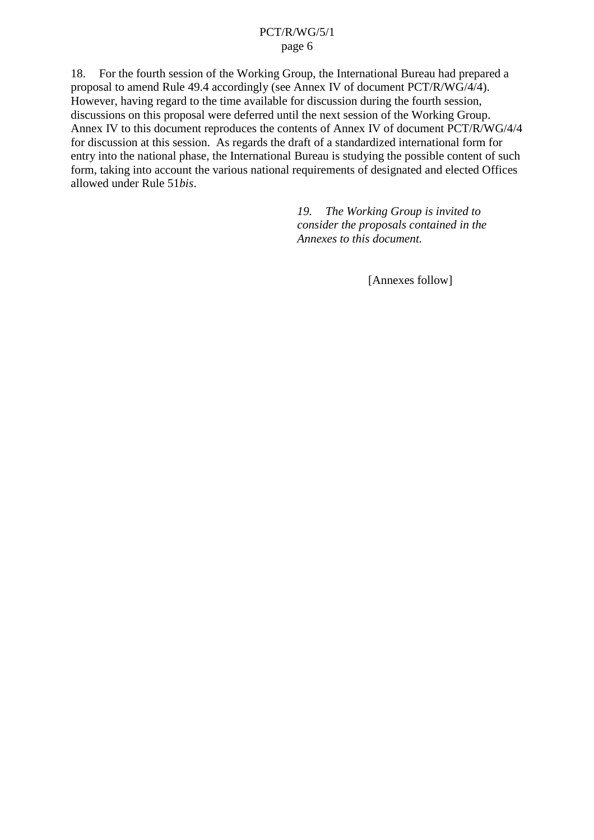### PCT/R/WG/5/1 page 6

<span id="page-5-0"></span>18. Forthe fourthsession of the Working Group, the International Bureau had prepared a proposal to amend Rule 49.4 accordingly (see Annex IV of document PCT/R/WG/4/4). However, having regard to the time available for discussion during the fourth session, discussions on this proposal were deferred unt il the next session of the Working Group. Annex IV to this document reproduces the contents of Annex IV of document PCT/R/WG/4/4 for discussion at this session. As regards the draft of a standardized international form for entry into the national phase, the International Bureau is studying the possible content of such form, taking into account the various national requirements of designated and elected Offices allowed under Rule 51*bis*.

> *19. The Working Group is invited to consider the proposals contained in the Annexes to this document.*

> > [Annexesfollow]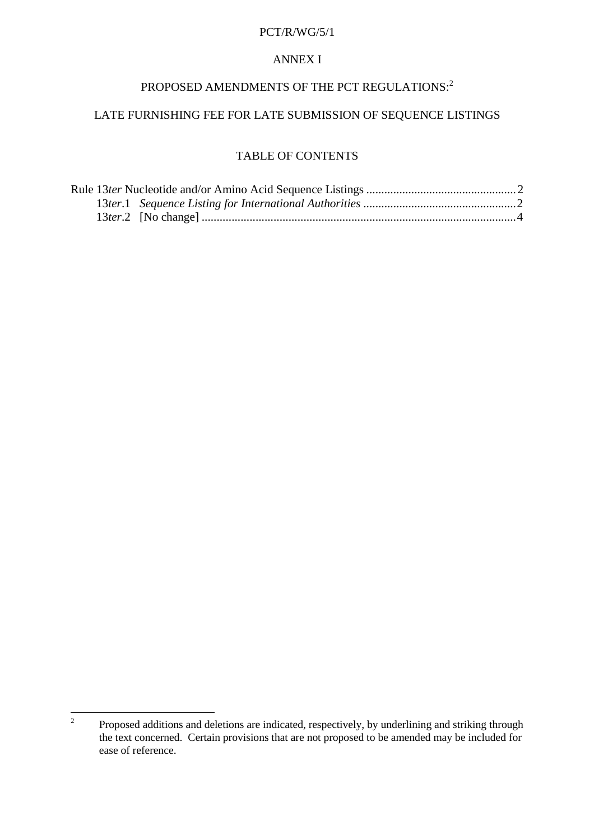### **ANNEXI**

## PROPOSED AMENDMENTS OF THE PCT REGULATIONS: <sup>2</sup>

## LATEFURNISHINGFEEFORLATESUBMISSION OF SEQUENCELISTINGS

### **TABLEOFCONTENTS**

<sup>&</sup>lt;sup>2</sup> Proposed additions and deletions are indicated, respectively, by underlining and striking through the text conce rned. Certain provisions that are not proposed to be amended may be included for ease of reference.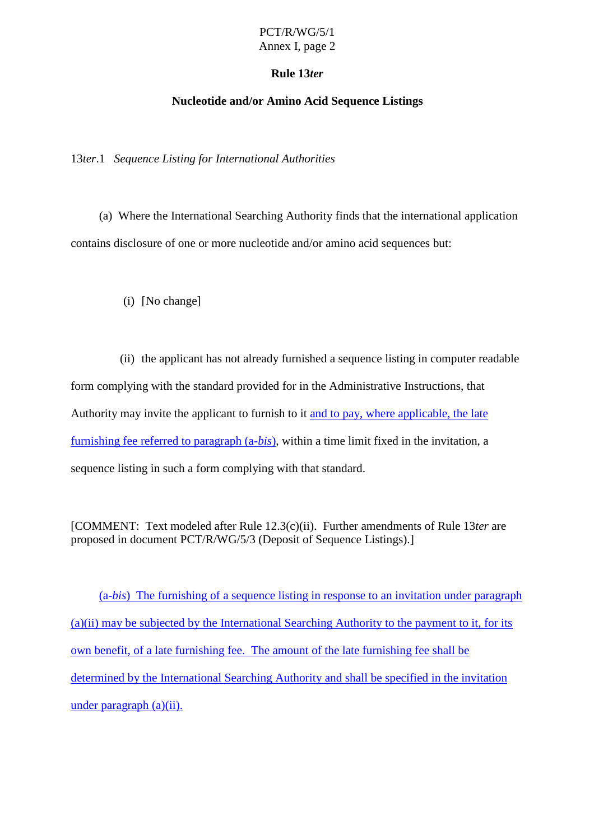### PCT/R/WG/5/1 Annex I, page 2

### **Rule 13***ter*

### **Nucleotide and/or Amino Acid Sequence Listings**

<span id="page-7-0"></span>13*ter*.1 *Sequence Listing for International Authorities*

(a) Where the International Searching Authority finds that the international application contains disclosure of one or more nucleotide and/or amino acid sequences but:

(i) [Nochange]

(ii) the applicant has not already furnished a sequence listing in computer readable form complying with the standard provided for in the Administrative Instructions, that Authority may invite the applicant to furnish to it and to pay, where applicable, the late furnishing feereferred to paragraph (a  $-bis$ ), within a time limit fixed in the invitation, a sequence listing in such a form complying with that standard.

[COMMENT: Text modeled after Rule 12.3(c)(ii). Further amendments of Rule 13*ter* are proposedindocument PCT/R/WG/5/3 (Deposit of Sequence Listings).]

(a-*bis*) The furnishing of a sequence listing in response to an invitation under paragraph  $(a)(ii)$  may be subjected by the International Searching Authority to the payment to it, for its own benefit, of a late furnishing fee. The amount of the late furnishing feeshall be determined by the International Searching Authority and shall be specified in the invitation  $under paragraph(a)(ii).$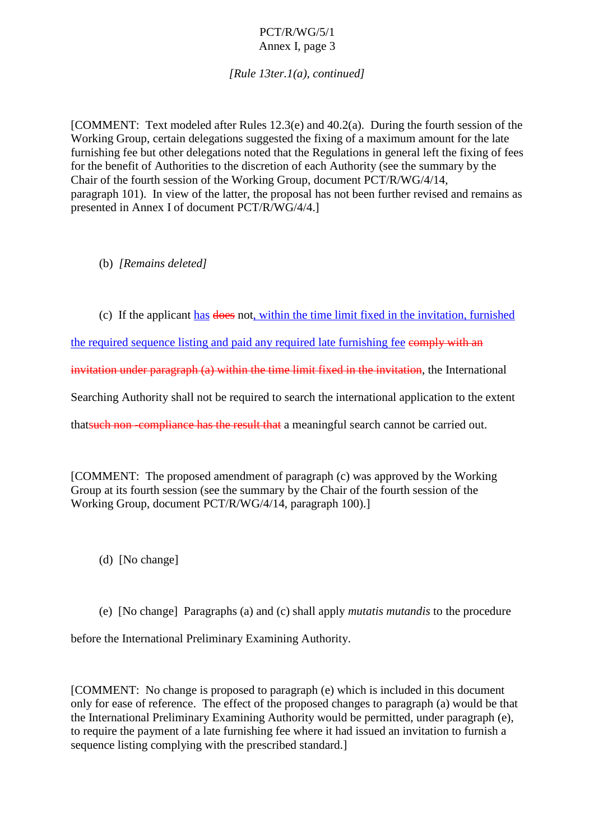### PCT/R/WG/5/1 Annex I, page 3

*[Rule 13ter.1(a), cont inued]*

[COMMENT:Textmodeled after Rules 12.3(e) and 40.2(a). During the fourth session of the Working Group, certain delegations suggested the fixing of a maximum amount for the late furnishing feebut other delegations noted that the Regulations in general left the fixing of fees for the benefit of Authorities to the discretion of each Authority (see the summary by the Chair of the fourth session of the Working Group, document PCT/R/WG/4/14, paragraph 101). Inview of the latter, the proposal has not been further revised and remains as presented in Annex I of document PCT/R/WG/4/4.]

(b) *[Remains deleted]*

(c) If the applicant has does not, within the time limit fixed in the invitation, furnished

the required sequence listing and paid any required la te furnishing fee comply with an

invitation under paragraph (a) within the time limit fixed in the invitation  $\qquad \qquad$ , the International

Searching Authority shall not be required to search the international application to the extent

that such non-compliance has the result that a meaningful search cannot be carried out.

[COMMENT: The proposed amendment of paragraph (c) was approved by the Working Group at its fourth session (see the summary by the Chair of the fourth session of the Working Group, document PCT/R/WG/ 4/14, paragraph 100).

(d) [Nochange]

(e) [Nochange] Paragraphs (a) and (c) shall apply *mutatis mutandis* to the procedure

before the International Preliminary Examining Authority.

[COMMENT: No change is proposed to paragraph (e) which is included in this document only for ease of reference. The effect of the proposed changes to paragraph (a) would be that the International Preliminary Examining Authority would be permitted, under paragraph (e), to require the payment of a late furnishing fee where it had issued an invitation to furnish a sequencelisting complying with the prescribed standard.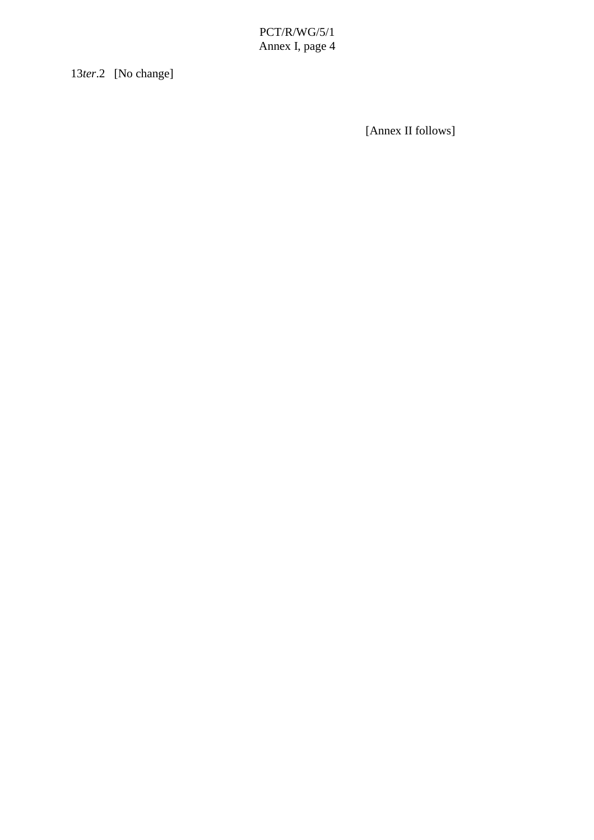PCT/R/WG/5/1 Annex I, page 4

<span id="page-9-0"></span>13*ter*.2 [Nochange]

[Annex IIfollows]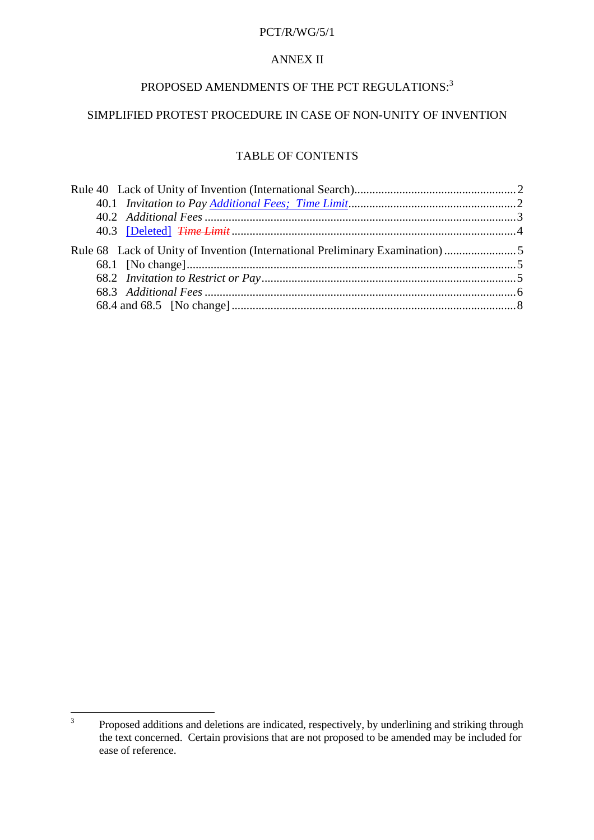## **ANNEXII**

# PROPOSED AMENDMENTS OF THE PCT REGULATIONS:  $^{\rm 3}$

## SIMPLIFIEDPROTESTPROCEDUREINCASEOFNON -UNITY OF INVENTION

### **TABLEOFCONTENTS**

| Rule40LackofUnityofInvention(InternationalSearch) manufactured and 2             |  |
|----------------------------------------------------------------------------------|--|
|                                                                                  |  |
|                                                                                  |  |
|                                                                                  |  |
| Rule68LackofUnityofInvention(InternationalPreliminaryExamination) manufactured 5 |  |
|                                                                                  |  |
|                                                                                  |  |
|                                                                                  |  |
|                                                                                  |  |

<sup>&</sup>lt;sup>3</sup> Proposed additions and deletions are indicated, respectively, by underlining and striking through the text concerned. Certain provisions that are not proposed to be a member of the text concerned. Certain provisions th the text concerned. Certain provisions that are not p ease of reference.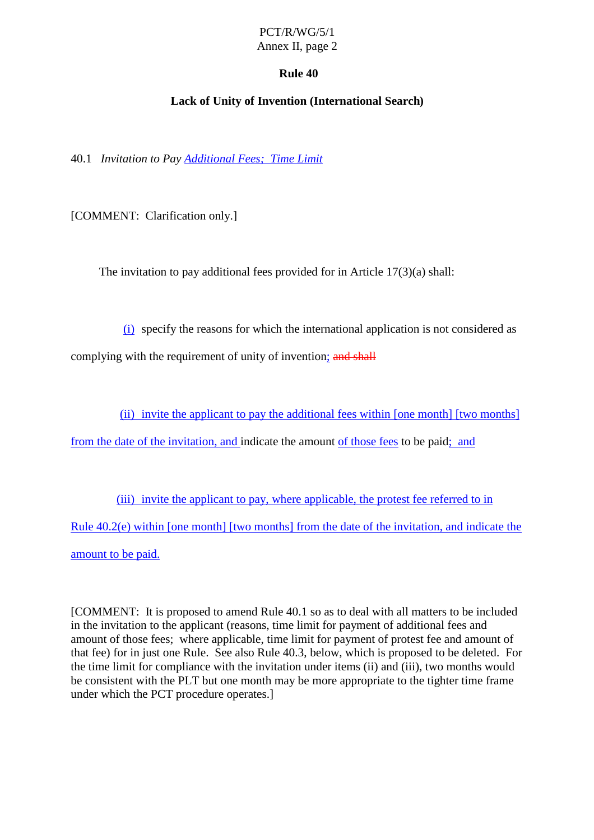## Annex II, page 2

## **Rule 40**

## **Lack of Unity of Invention (International Search )**

<span id="page-11-0"></span>40.1 *Invitation to Pay Additional Fees; Time Limit*

[COMMENT: Clarification only.]

The invitation to pay additional fees provided for in Article  $17(3)(a)$  shall:

(i) specify the reasons for which the international application is not considered as

complying with the requirement of unity of invention ; and shall

(ii) invite the applicant to pay the additional fees within [one month] [two months]

from the date of the invitation, and indicate the amount of those fees to be paid ; and

(iii) invite the ap plicant to pay, where applicable, the protest feeder red to in Rule 40.2(e) within [one month] [two months] from the date of the invitation, and indicate the amount to be paid.

[COMMENT:Itisproposed to amend Rule 40.1 so as to deal with all matters two beincluded in the invitation to the applicant (reasons, time limit for payment of additional fees and amount of those fees; where applicable, time limit for payment of protest fee and amount of that fee) for injust one Rule. See also Rule 40.3, below , which is proposed to be deleted. For the time limit for compliance with the invitation under items (ii) and (iii), two months would be consistent with the PLT but one month may be more appropriate to the tighter time frame under which the PCT procedure operates.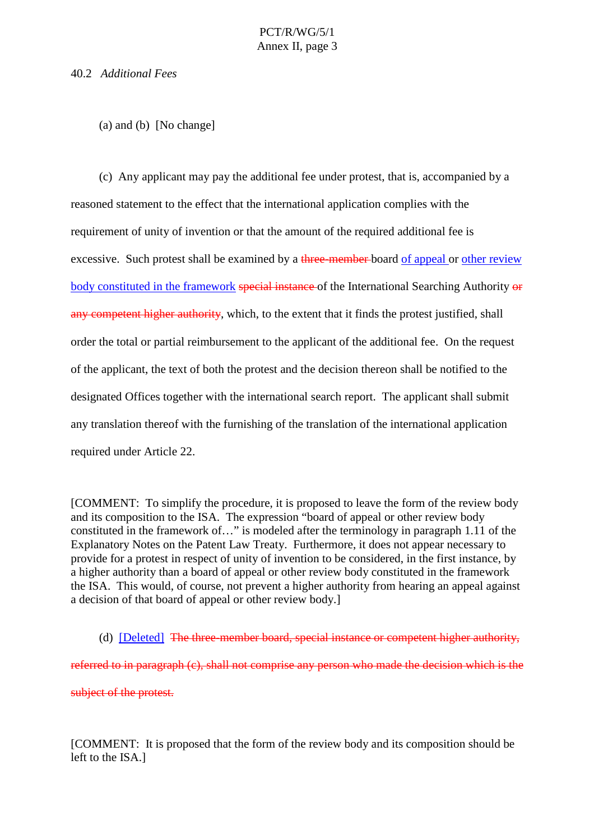### <span id="page-12-0"></span>40.2 *Additional Fees*

 $(a)$  and  $(b)$  [No change]

(c) Any applicant may pay the additional fee under protest, that is, accompanied by a reasoned statement to the effect that the international application complies with the requirement of unity o finvention orthat the amount of the required additional fee is excessive. Such protests hall be examined by a three-member board of appeal or other review body constituted in the framework special instance of the International Searching Authority or any competent higher authority , which, to the extent that it finds the protest justified, shall order the total or partial reimbursement to the applicant of the additional fee. On the request of the applicant , the text of both the protest and the decision the reconshall be notified to the designated Offices together with the international search report. The applicant shall submit any translation thereof with the furnishing of the translation of the international application required under Article 22.

[COMMENT: To simplify the procedure, it is proposed to leave the form of the review body and its composition to the ISA. The expression "board of appeal or other review body constituted in the framework of ... " is modeled after the terminology in paragraph 1.11 of the Explanatory Notes on the Patent Law Treaty. Furthermore, it does not appear necessary to provide for a protest in respect of unity of invention to be considered, in the first instance, by a higher authority than a board of appeal or other review body constituted in the framework the ISA. This would, of course, not preventa higher authority from hearing an appeal against a decision of that board of appeal or other review body.]

(d) [Deleted] The three -member board, special instance or competent hig her authority, referred to inparagraph (c), shall not comprise any person who made the decision which is the subjectoftheprotest.

[COMMENT:Itisproposedthattheform of the review body and its compositions hould be left to the ISA.]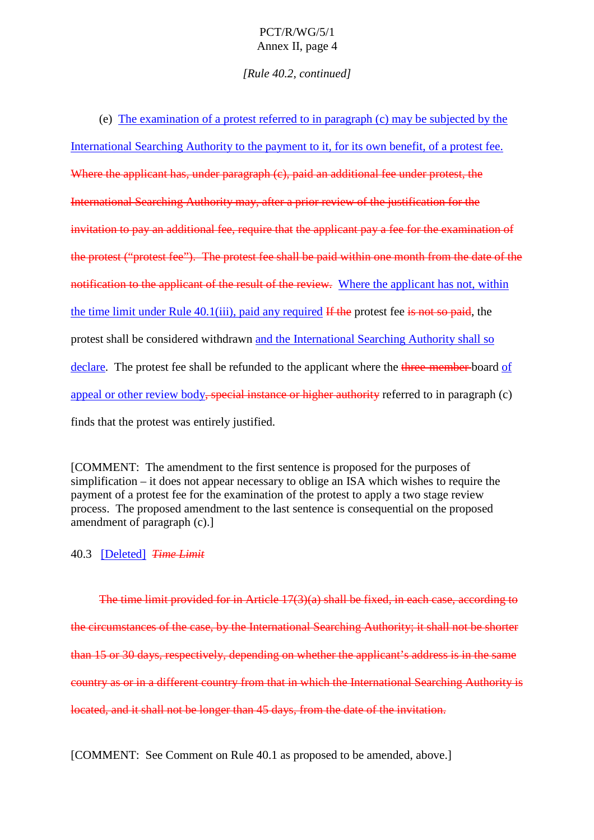## PCT/R/WG/5/1 Annex II, page 4

*[Rule 40.2, con tinued]*

<span id="page-13-0"></span> $(e)$  The examination of a protest referred to in paragraph  $(c)$  may be subjected by the

International Searching Authority to the payment to it, for its own benefit, of a protest fee. Where the applicant has, under paragraph  $\epsilon$  (c), paid an additional fee under protest, the International Searching Authority may, after a prior review of the justification for the invitation to pay an additional fee, require that the applicant pay a fee for the examination of the protest ("protest fee"). The protest fees hall be paid within one month from the date of the notification to the applicant of the result of the review. Where the applicant has not, within the time limit under Rule  $40.1(iii)$ , paid any required If the protest fee is not so paid the protest shall be considered withdrawn and the International Searching Authority shalls o declare. The protest feeshall be refunded to the applicant where the three-member board of appeal or other review body special instance or higher authority referred to inparagrap h (c) finds that the protest was entirely justified.

[COMMENT: The amendment to the first sentence is proposed for the purposes of simplification – it does not appear necessary to oblige an ISA which wishes to require the payment of a protest fee for the examination of the protest to apply at wo stage review process. The proposed amendment to the last sentence is consequential on the proposed  $amendment of paragraph (c).$ ]

40.3 [Deleted] *Time Limit*

The time limit provided for in Article 17(3)(a) shall b e fixed, in each case, according to the circumstances of the case, by the International Searching Authority; its hall not be shorter than 15 or 30 days, respectively, depending on whether the applicant's address is in the same country as orina different country from that in which the International Searching Authority is located, and it shall not be longer than  $45$  days, from the date of the invitation.

[COMMENT:SeeCommentonRule 40.1 as proposed to be amended, above.]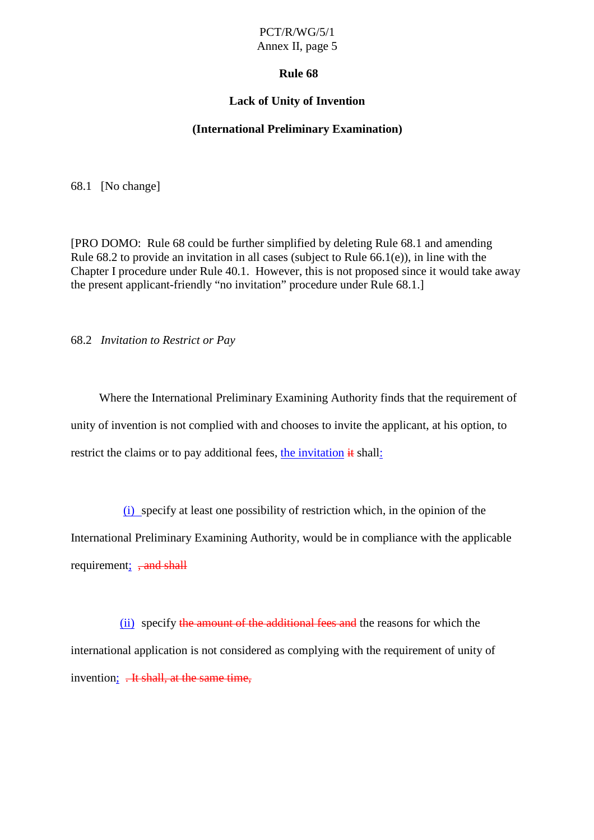### Annex II, page 5

### **Rule 68**

### **Lack of Unity of Invent ion**

### **(International Preliminary Examination)**

<span id="page-14-0"></span>68.1 [Nochange]

[PRO DOMO: Rule 68 could be further simplified by deleting Rule 68.1 and amending Rule  $68.2$  to provide an invitation in all cases (subject to Rule  $66.1$ (e)), in line with the Chapter I procedur e under Rule 40.1. However, this is not proposed since it would take away the presentapplicant -friendly "no invitation" procedure under Rule 68.1.]

68.2 *Invitation to Restrict or Pay*

Where the International Preliminary Examining Authority finds that the requirement of unity of invention is not complied with and chooses to invite the applicant, at his option, to restrict the claims ortop a vadditional fees, the invitation it shall :

(i) specify at least one possibility of restriction which, in the opin ion of the International Preliminary Examining Authority, would be in compliance with the applicable requirement: **and shall** 

(ii) specify the amount of the additional feeds and the reasons for which the international application is not considered as com plying with the requirement of unity of invention; .Hishall, at the same time,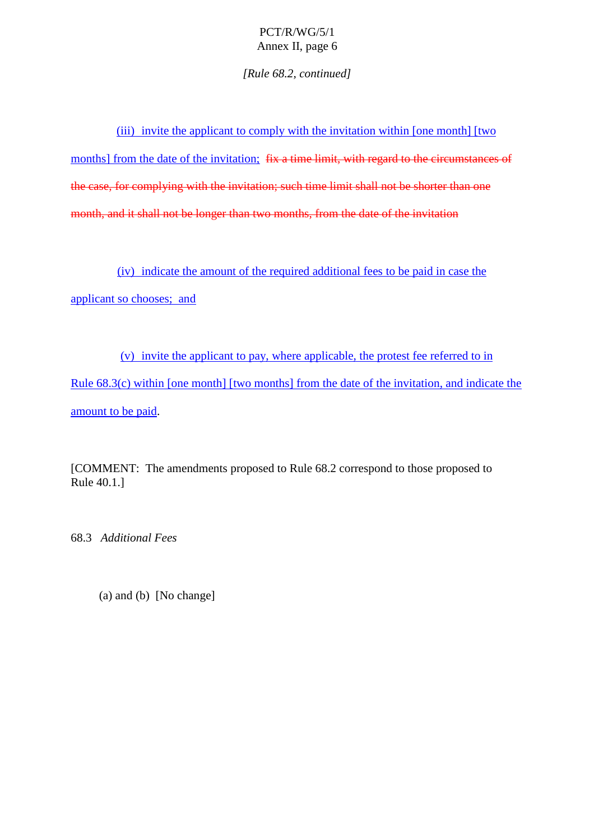*[Rule 68.2, continued]*

<span id="page-15-0"></span>(iii) invite the applicant to comply with the invitation within [one month] [two months] from the date of the invitation; fix a time limit, with reg ard to the circumstances of the case, for complying with the invitation; such time limits hall not be shorter than one month, and it shall not be longer than two months, from the date of the invitation

(iv) indicate the amount of the required additional f ees to be paid in case the applicantsochooses; and

(v) invite the applicant to pay, where applicable, the protest fee referred to in Rule 68.3(c) within [one month] [two months] from the date of the invitation, and indicate the amount to be paid.

[COMMENT: The amendments proposed to Rule 68.2 correspond to those proposed to Rule 40.1.]

68.3 *Additional Fees*

 $(a)$  and  $(b)$  [No change]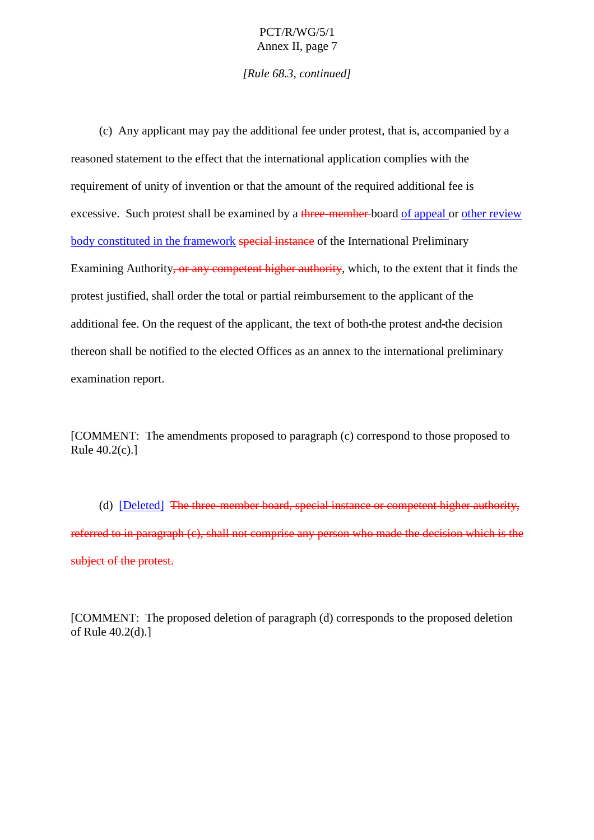### PCT/R/WG/5/1 Annex II, page 7

*[Rule 68.3, continued]*

(c) Any applicant may pay the additional fee underprotest, that is, accompanied by a reasoned statement to the effect that the international application complies with the requirement of unity of invention or that the amount of the required additional fee is excessive. Such protests hall be examined by a three-member board of appeal or other review body constituted in the framework special instance of the International Preliminary Examining Authority <del>, or any competent higher authority</del>, which, to the extent that it finds the protest justified, shall order the total or partial reimbursement to the app licant of the additional fee. On the request of the applicant, the text of both -the protest and -the decision thereonshall be notified to the elected Offices as an annex to the international preliminary examination report.

[COMMENT: The amendments propose dto paragraph (c) correspond to those proposed to  $Rule 40.2(c).$ ]

(d) [Deleted] The three -member board, special instance or competent higher authority, referred to inparagraph (c), shall not comprise any person who made the decision which is the subjectoftheprotest.

[COMMENT: The proposed deletion of paragraph (d) corresponds to the proposed deletion of Rule  $40.2(d)$ .]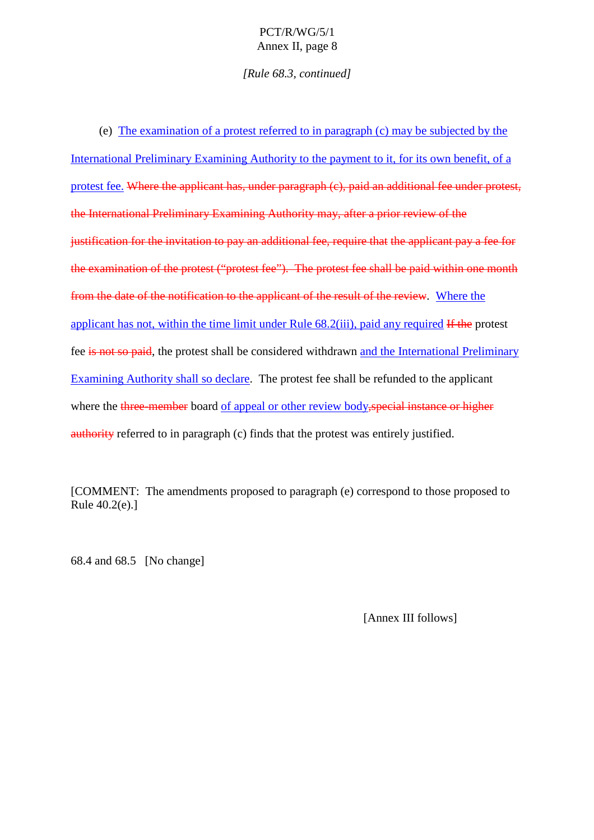## PCT/R/WG/5/1 Annex II, page 8

*[Rule 68.3, continued]*

<span id="page-17-0"></span> $(e)$  The examination of a protest referred to in paragraph  $(c)$  may be subjected by the International Prelimin ary Examining Authority to the payment to it, for its own benefit, of a protest fee. Where the applicant has, under paragraph (c), paid an additional fee under protest, the International Preliminary Examining Authority may, after a prior review of the justification for the invitation to pay an additional fee, require that the applicant pay a fee for the applicant pay a fee for the applicant pay a fee for the applicant pay a fee for the applicant pay a few formula in the the examination of the protest ("protest fee"). The protest feeshall be paid within one month from the date of the notification to the applicant of the result of the review . Where the applicant has not, within the time limit under Rule  $68.2(iii)$ , paid any required If the protest fee is not so paid—, the protest shall be considered withdrawn and the International Preliminary Examining Authority shalls odeclare . The protest feeshall be refunded to the applicant where three-member board of appeal or other review body , special instance or higherauthority referred to inparagraph (c) finds that the protest was entirely justified.

[COMMENT: The amendments prop osed to paragraph (e) correspond to those proposed to  $Rule 40.2(e).$ ]

68.4 and 68.5 [No change]

[Annex III follows]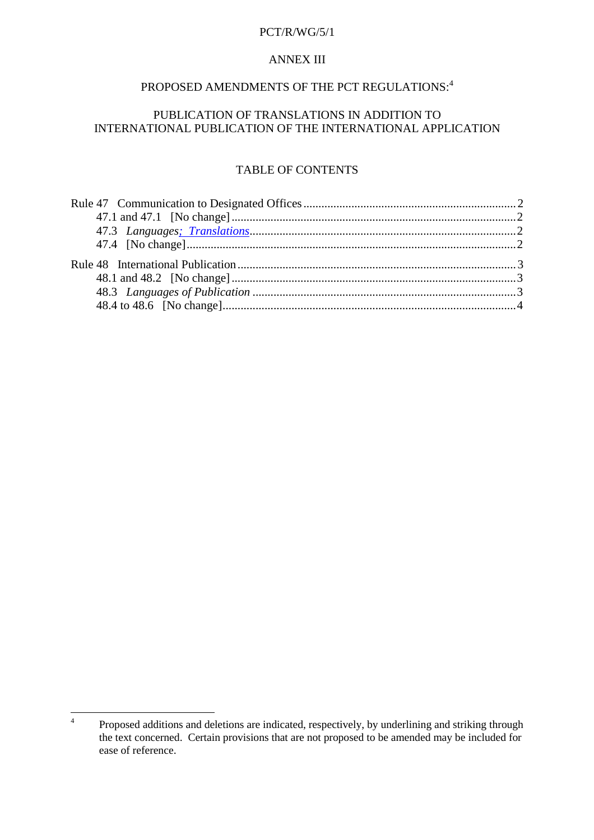#### **ANNEXIII**

## PROPOSED AMENDMENTS OF THE PCT REGULATIONS:  $4$

## PUBLICATION OF TRANS LATIONS IN ADDITION TO INTERNATIONAL PUBLIC ATION OF THE INT ERNATIONAL APPLICATI ON

### **TABLEOFCONTENTS**

<sup>&</sup>lt;sup>4</sup> Proposed additions and deletions are indicated, respectively, by underlining and striking through the text concerned. Certain provisions that are not proposed to be amended may be included for representations of representations of representations of representations of representations of representations of representatio ease of reference.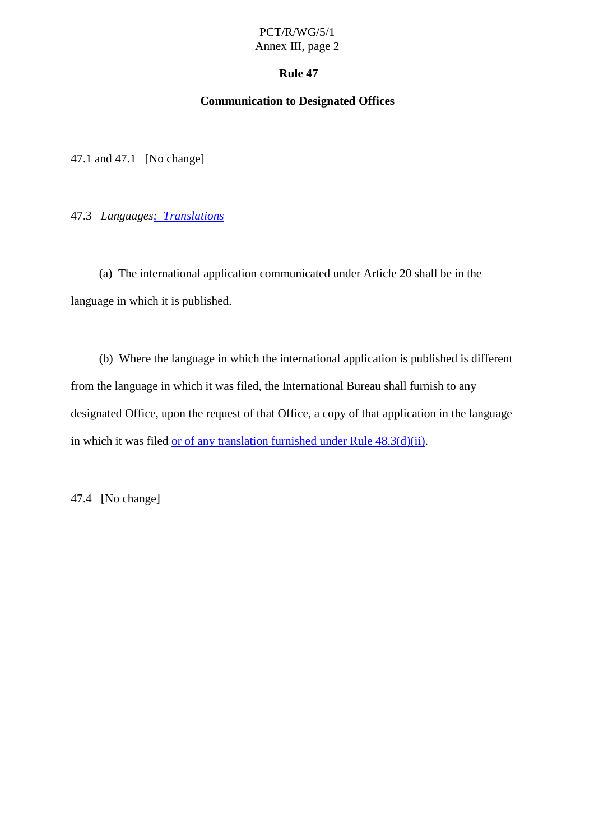## PCT/R/WG/5/1 Annex III, page 2

### **Rule 47**

### **Communication to Designated Offices**

<span id="page-19-0"></span>47.1 and 47.1 [No change]

47.3 *Languages; Translations*

(a) The international application communicated under Article 20 shall be in the language in which it is published.

(b) Where the language in which the international application is published is different from the language in which it was filed, the International Bureau shall furnish to any designated Office, upon the request of that Office, a copy of that application in the language  $in which it was filed \n $or of any translation furnished under Rule 48.3(d)(ii)$ .$ 

47.4 [Nochange]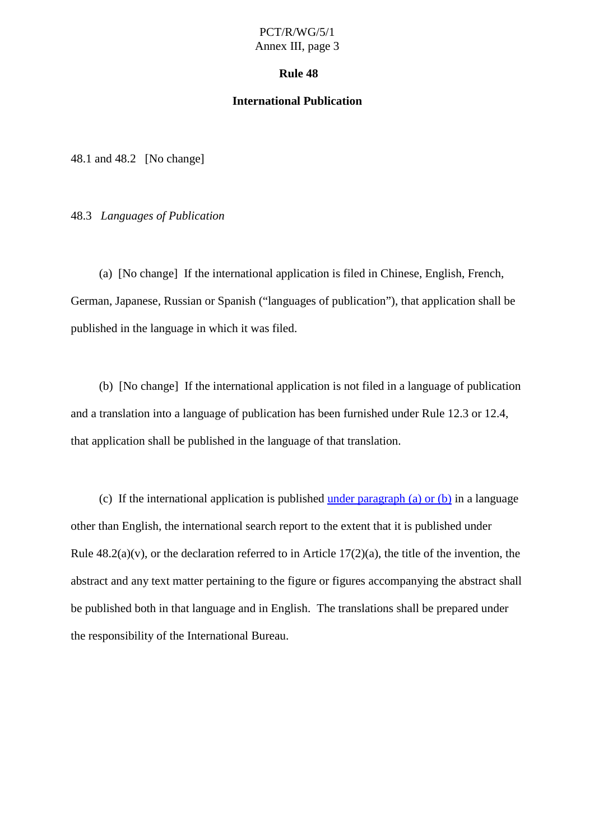### PCT/R/WG/5/1 Annex III, page 3

#### **Rule 48**

### **International Publication**

<span id="page-20-0"></span> $48.1$  and  $48.2$  [No change]

48.3 *Languages of Publica tion*

(a) [Nochange] If the international application is filed in Chinese, English, French, German, Japanese, Russian or Spanish ("languages of publication"), that application shall be published in the language in which it was filed.

(b) [No change] If the international application is not filed in a language of publication and a translation into a language of publication has been furnished under Rule 12.3 or 12.4, that applications hall be published in the language of that translation.

(c) If the in ternational application is published under paragraph  $(a)$  or  $(b)$  in a language other than English, the international search report to the extent that it is published under Rule  $48.2(a)(v)$ , orthe declaration referred to in Article 17(2)(a), the title of the invention, the abstract and any text matter pertaining to the figure or figures accompanying the abstracts hall be published both in that language and in English. The translations shall be prepared under the responsibility of the International Bureau.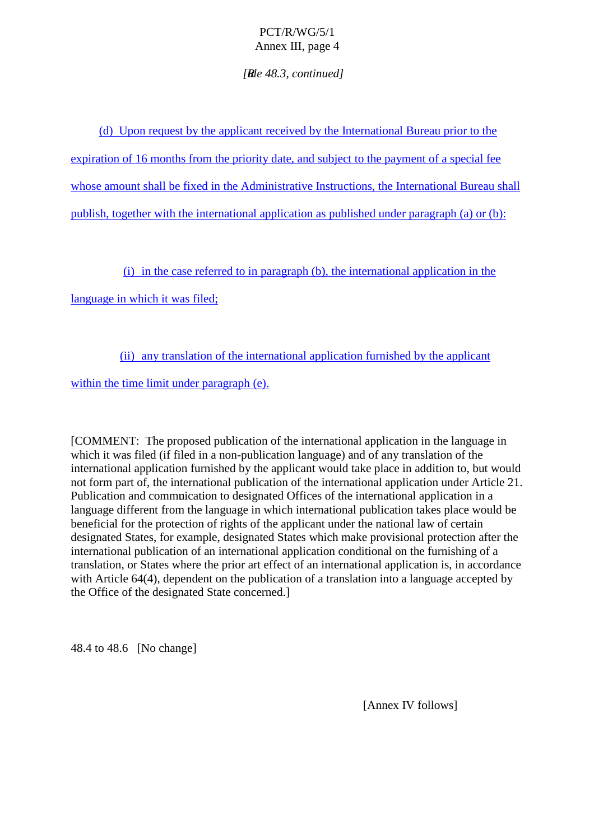## PCT/R/WG/5/1 Annex III, page 4

*[Rule 48.3, continued]*

<span id="page-21-0"></span>(d) Upon request by the applicant received by the International Bureau prior to the expiration of 16 months from the priority date, and subject to the payment of a special fee whose amount shall be fixed in the Administrative Instructions, the International Bureau shall  $public$  publish, together with the international application as published under paragraph (a) or (b):

(i) in the case referred to in paragraph (b), the international application in the

language in which it was filed;

(ii) any translation of the international application furnished by the applicant

within the time limit under paragraph  $(e)$ .

[COMMENT:The proposed publication of the international application in the language in which it was filed (if filed in a non -publication l anguage) and of any translation of the international application furnished by the applicant would take place in addition to, but would not form part of, the international publication of the international application under Article 21. Publication and communication to designated Offices of the international application in a language different from the language in which international publication takes place would be beneficial for the protection of rights of the applicant under the national law of certain designated States, for example, designated States which make provisional protection after the international publication of an international application conditional on the furnishing of a translation, or States where the prior art effect of an international ap plication is, in accordance with Article 64(4), dependent on the publication of a translation into a language accepted by the Office of the designated State concerned.]

48.4 to 48.6 [No change]

[Annex IV follows]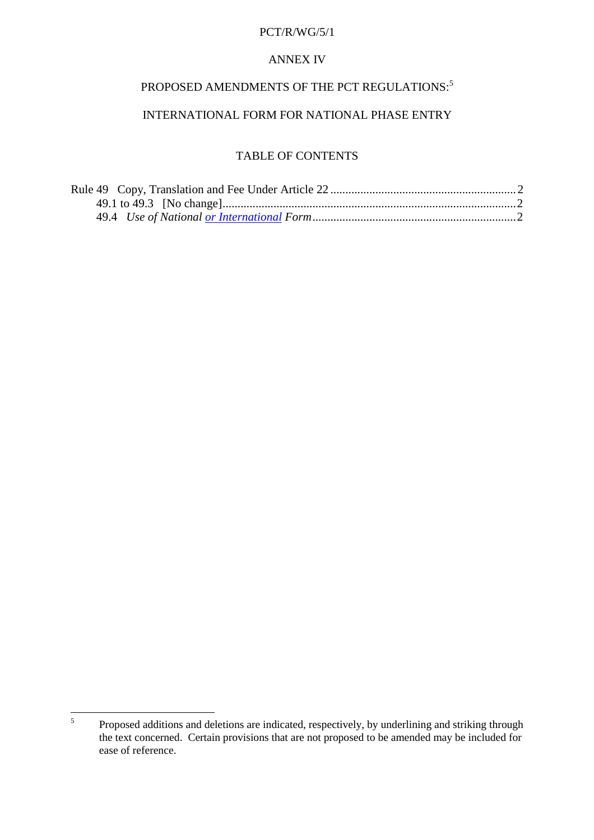## **ANNEXIV**

## PROPOSED AMENDMENTS OF THE PCT REGULATIONS:  $^5$

## INTERNATIONAL FORM FORNATIONAL PHASE ENTRY

## **TABLEOFCONTENTS**

| Rule49Copy,TranslationandFeeUnderArticle22 |  |
|--------------------------------------------|--|
|                                            |  |
|                                            |  |

<sup>&</sup>lt;sup>5</sup> Proposed additions and deletions are indicated, respectively, by underlining and striking through the text concerned. Certain provisions that are not proposed to be amended may be included for ease of reference.